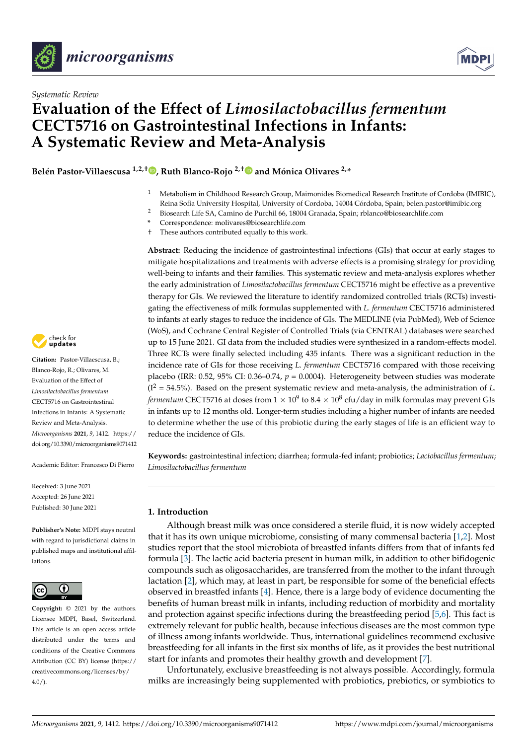



# **Evaluation of the Effect of** *Limosilactobacillus fermentum* **CECT5716 on Gastrointestinal Infections in Infants: A Systematic Review and Meta-Analysis**

**Belén Pastor-Villaescusa 1,2,† [,](https://orcid.org/0000-0003-0817-6804) Ruth Blanco-Rojo 2,[†](https://orcid.org/0000-0002-6159-3597) and Mónica Olivares 2,\***

- <sup>1</sup> Metabolism in Childhood Research Group, Maimonides Biomedical Research Institute of Cordoba (IMIBIC), Reina Sofia University Hospital, University of Cordoba, 14004 Córdoba, Spain; belen.pastor@imibic.org
- <sup>2</sup> Biosearch Life SA, Camino de Purchil 66, 18004 Granada, Spain; rblanco@biosearchlife.com
- **\*** Correspondence: molivares@biosearchlife.com
- † These authors contributed equally to this work.

**Abstract:** Reducing the incidence of gastrointestinal infections (GIs) that occur at early stages to mitigate hospitalizations and treatments with adverse effects is a promising strategy for providing well-being to infants and their families. This systematic review and meta-analysis explores whether the early administration of *Limosilactobacillus fermentum* CECT5716 might be effective as a preventive therapy for GIs. We reviewed the literature to identify randomized controlled trials (RCTs) investigating the effectiveness of milk formulas supplemented with *L. fermentum* CECT5716 administered to infants at early stages to reduce the incidence of GIs. The MEDLINE (via PubMed), Web of Science (WoS), and Cochrane Central Register of Controlled Trials (via CENTRAL) databases were searched up to 15 June 2021. GI data from the included studies were synthesized in a random-effects model. Three RCTs were finally selected including 435 infants. There was a significant reduction in the incidence rate of GIs for those receiving *L. fermentum* CECT5716 compared with those receiving placebo (IRR: 0.52, 95% CI: 0.36–0.74, *p* = 0.0004). Heterogeneity between studies was moderate  $(I<sup>2</sup> = 54.5%)$ . Based on the present systematic review and meta-analysis, the administration of *L*. *fermentum* CECT5716 at doses from  $1\times10^9$  to  $8.4\times10^8$  cfu/day in milk formulas may prevent GIs in infants up to 12 months old. Longer-term studies including a higher number of infants are needed to determine whether the use of this probiotic during the early stages of life is an efficient way to reduce the incidence of GIs.

**Keywords:** gastrointestinal infection; diarrhea; formula-fed infant; probiotics; *Lactobacillus fermentum*; *Limosilactobacillus fermentum*

# **1. Introduction**

Although breast milk was once considered a sterile fluid, it is now widely accepted that it has its own unique microbiome, consisting of many commensal bacteria [\[1](#page-10-0)[,2\]](#page-10-1). Most studies report that the stool microbiota of breastfed infants differs from that of infants fed formula [\[3\]](#page-10-2). The lactic acid bacteria present in human milk, in addition to other bifidogenic compounds such as oligosaccharides, are transferred from the mother to the infant through lactation [\[2\]](#page-10-1), which may, at least in part, be responsible for some of the beneficial effects observed in breastfed infants [\[4\]](#page-10-3). Hence, there is a large body of evidence documenting the benefits of human breast milk in infants, including reduction of morbidity and mortality and protection against specific infections during the breastfeeding period [\[5](#page-10-4)[,6\]](#page-10-5). This fact is extremely relevant for public health, because infectious diseases are the most common type of illness among infants worldwide. Thus, international guidelines recommend exclusive breastfeeding for all infants in the first six months of life, as it provides the best nutritional start for infants and promotes their healthy growth and development [\[7\]](#page-10-6).

Unfortunately, exclusive breastfeeding is not always possible. Accordingly, formula milks are increasingly being supplemented with probiotics, prebiotics, or symbiotics to



**Citation:** Pastor-Villaescusa, B.; Blanco-Rojo, R.; Olivares, M. Evaluation of the Effect of *Limosilactobacillus fermentum* CECT5716 on Gastrointestinal Infections in Infants: A Systematic Review and Meta-Analysis. *Microorganisms* **2021**, *9*, 1412. [https://](https://doi.org/10.3390/microorganisms9071412) [doi.org/10.3390/microorganisms9071412](https://doi.org/10.3390/microorganisms9071412)

Academic Editor: Francesco Di Pierro

Received: 3 June 2021 Accepted: 26 June 2021 Published: 30 June 2021

**Publisher's Note:** MDPI stays neutral with regard to jurisdictional claims in published maps and institutional affiliations.



**Copyright:** © 2021 by the authors. Licensee MDPI, Basel, Switzerland. This article is an open access article distributed under the terms and conditions of the Creative Commons Attribution (CC BY) license (https:/[/](https://creativecommons.org/licenses/by/4.0/) [creativecommons.org/licenses/by/](https://creativecommons.org/licenses/by/4.0/)  $4.0/$ ).

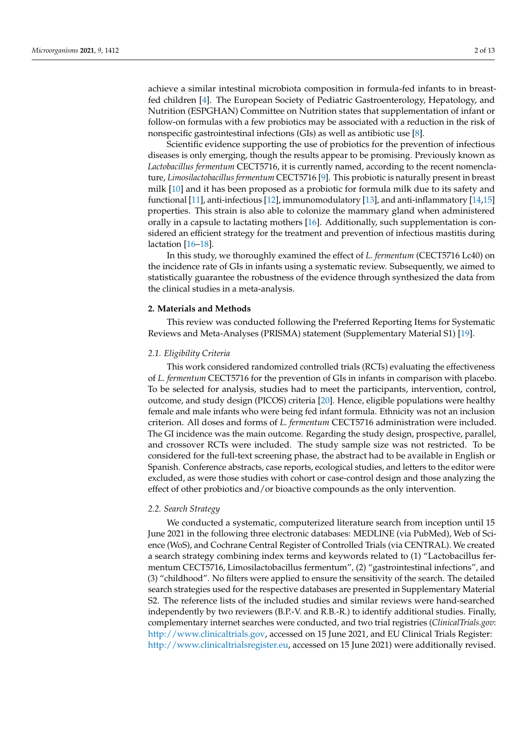achieve a similar intestinal microbiota composition in formula-fed infants to in breastfed children [\[4\]](#page-10-3). The European Society of Pediatric Gastroenterology, Hepatology, and Nutrition (ESPGHAN) Committee on Nutrition states that supplementation of infant or follow-on formulas with a few probiotics may be associated with a reduction in the risk of nonspecific gastrointestinal infections (GIs) as well as antibiotic use [\[8\]](#page-10-7).

Scientific evidence supporting the use of probiotics for the prevention of infectious diseases is only emerging, though the results appear to be promising. Previously known as *Lactobacillus fermentum* CECT5716, it is currently named, according to the recent nomenclature, *Limosilactobacillus fermentum* CECT5716 [\[9\]](#page-10-8). This probiotic is naturally present in breast milk [\[10\]](#page-10-9) and it has been proposed as a probiotic for formula milk due to its safety and functional [\[11\]](#page-10-10), anti-infectious [\[12\]](#page-10-11), immunomodulatory [\[13\]](#page-10-12), and anti-inflammatory [\[14,](#page-10-13)[15\]](#page-10-14) properties. This strain is also able to colonize the mammary gland when administered orally in a capsule to lactating mothers [\[16\]](#page-10-15). Additionally, such supplementation is considered an efficient strategy for the treatment and prevention of infectious mastitis during lactation [\[16–](#page-10-15)[18\]](#page-10-16).

In this study, we thoroughly examined the effect of *L. fermentum* (CECT5716 Lc40) on the incidence rate of GIs in infants using a systematic review. Subsequently, we aimed to statistically guarantee the robustness of the evidence through synthesized the data from the clinical studies in a meta-analysis.

#### **2. Materials and Methods**

This review was conducted following the Preferred Reporting Items for Systematic Reviews and Meta-Analyses (PRISMA) statement (Supplementary Material S1) [\[19\]](#page-10-17).

#### *2.1. Eligibility Criteria*

This work considered randomized controlled trials (RCTs) evaluating the effectiveness of *L. fermentum* CECT5716 for the prevention of GIs in infants in comparison with placebo. To be selected for analysis, studies had to meet the participants, intervention, control, outcome, and study design (PICOS) criteria [\[20\]](#page-10-18). Hence, eligible populations were healthy female and male infants who were being fed infant formula. Ethnicity was not an inclusion criterion. All doses and forms of *L. fermentum* CECT5716 administration were included. The GI incidence was the main outcome. Regarding the study design, prospective, parallel, and crossover RCTs were included. The study sample size was not restricted. To be considered for the full-text screening phase, the abstract had to be available in English or Spanish. Conference abstracts, case reports, ecological studies, and letters to the editor were excluded, as were those studies with cohort or case-control design and those analyzing the effect of other probiotics and/or bioactive compounds as the only intervention.

### *2.2. Search Strategy*

We conducted a systematic, computerized literature search from inception until 15 June 2021 in the following three electronic databases: MEDLINE (via PubMed), Web of Science (WoS), and Cochrane Central Register of Controlled Trials (via CENTRAL). We created a search strategy combining index terms and keywords related to (1) "Lactobacillus fermentum CECT5716, Limosilactobacillus fermentum", (2) "gastrointestinal infections", and (3) "childhood". No filters were applied to ensure the sensitivity of the search. The detailed search strategies used for the respective databases are presented in Supplementary Material S2. The reference lists of the included studies and similar reviews were hand-searched independently by two reviewers (B.P.-V. and R.B.-R.) to identify additional studies. Finally, complementary internet searches were conducted, and two trial registries (*ClinicalTrials.gov*: [http://www.clinicaltrials.gov,](http://www.clinicaltrials.gov) accessed on 15 June 2021, and EU Clinical Trials Register: [http://www.clinicaltrialsregister.eu,](http://www.clinicaltrialsregister.eu) accessed on 15 June 2021) were additionally revised.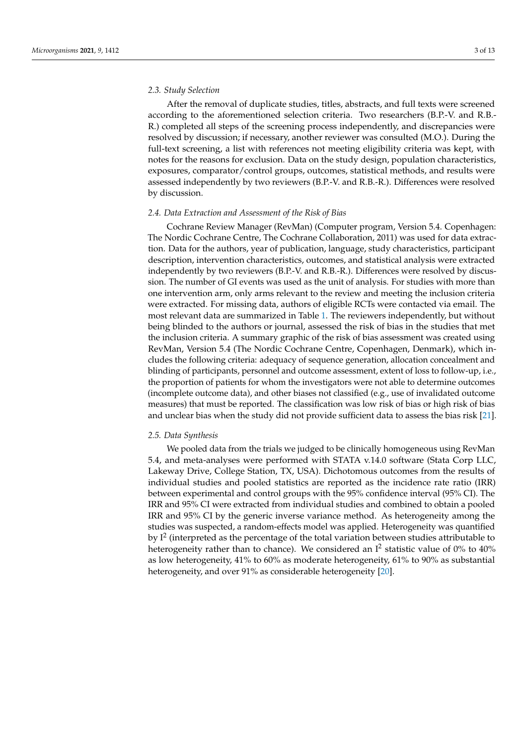#### *2.3. Study Selection*

After the removal of duplicate studies, titles, abstracts, and full texts were screened according to the aforementioned selection criteria. Two researchers (B.P.-V. and R.B.- R.) completed all steps of the screening process independently, and discrepancies were resolved by discussion; if necessary, another reviewer was consulted (M.O.). During the full-text screening, a list with references not meeting eligibility criteria was kept, with notes for the reasons for exclusion. Data on the study design, population characteristics, exposures, comparator/control groups, outcomes, statistical methods, and results were assessed independently by two reviewers (B.P.-V. and R.B.-R.). Differences were resolved by discussion.

#### *2.4. Data Extraction and Assessment of the Risk of Bias*

Cochrane Review Manager (RevMan) (Computer program, Version 5.4. Copenhagen: The Nordic Cochrane Centre, The Cochrane Collaboration, 2011) was used for data extraction. Data for the authors, year of publication, language, study characteristics, participant description, intervention characteristics, outcomes, and statistical analysis were extracted independently by two reviewers (B.P.-V. and R.B.-R.). Differences were resolved by discussion. The number of GI events was used as the unit of analysis. For studies with more than one intervention arm, only arms relevant to the review and meeting the inclusion criteria were extracted. For missing data, authors of eligible RCTs were contacted via email. The most relevant data are summarized in Table [1.](#page-3-0) The reviewers independently, but without being blinded to the authors or journal, assessed the risk of bias in the studies that met the inclusion criteria. A summary graphic of the risk of bias assessment was created using RevMan, Version 5.4 (The Nordic Cochrane Centre, Copenhagen, Denmark), which includes the following criteria: adequacy of sequence generation, allocation concealment and blinding of participants, personnel and outcome assessment, extent of loss to follow-up, i.e., the proportion of patients for whom the investigators were not able to determine outcomes (incomplete outcome data), and other biases not classified (e.g., use of invalidated outcome measures) that must be reported. The classification was low risk of bias or high risk of bias and unclear bias when the study did not provide sufficient data to assess the bias risk [\[21\]](#page-10-19).

#### *2.5. Data Synthesis*

We pooled data from the trials we judged to be clinically homogeneous using RevMan 5.4, and meta-analyses were performed with STATA v.14.0 software (Stata Corp LLC, Lakeway Drive, College Station, TX, USA). Dichotomous outcomes from the results of individual studies and pooled statistics are reported as the incidence rate ratio (IRR) between experimental and control groups with the 95% confidence interval (95% CI). The IRR and 95% CI were extracted from individual studies and combined to obtain a pooled IRR and 95% CI by the generic inverse variance method. As heterogeneity among the studies was suspected, a random-effects model was applied. Heterogeneity was quantified by  $I^2$  (interpreted as the percentage of the total variation between studies attributable to heterogeneity rather than to chance). We considered an I<sup>2</sup> statistic value of 0% to 40% as low heterogeneity, 41% to 60% as moderate heterogeneity, 61% to 90% as substantial heterogeneity, and over 91% as considerable heterogeneity [\[20\]](#page-10-18).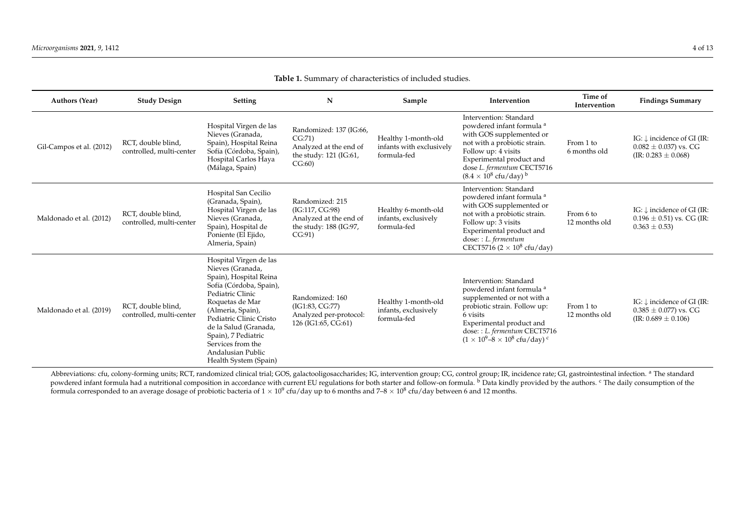| <b>Authors (Year)</b>    | <b>Study Design</b>                            | <b>Setting</b>                                                                                                                                                                                                                                                                                            | N                                                                                                 | Sample                                                         | Intervention                                                                                                                                                                                                                                                | Time of<br>Intervention    | <b>Findings Summary</b>                                                                      |
|--------------------------|------------------------------------------------|-----------------------------------------------------------------------------------------------------------------------------------------------------------------------------------------------------------------------------------------------------------------------------------------------------------|---------------------------------------------------------------------------------------------------|----------------------------------------------------------------|-------------------------------------------------------------------------------------------------------------------------------------------------------------------------------------------------------------------------------------------------------------|----------------------------|----------------------------------------------------------------------------------------------|
| Gil-Campos et al. (2012) | RCT, double blind,<br>controlled, multi-center | Hospital Virgen de las<br>Nieves (Granada,<br>Spain), Hospital Reina<br>Sofía (Córdoba, Spain),<br>Hospital Carlos Haya<br>(Málaga, Spain)                                                                                                                                                                | Randomized: 137 (IG:66,<br>CG:71)<br>Analyzed at the end of<br>the study: $121$ (IG:61,<br>CG:60) | Healthy 1-month-old<br>infants with exclusively<br>formula-fed | Intervention: Standard<br>powdered infant formula <sup>a</sup><br>with GOS supplemented or<br>not with a probiotic strain.<br>Follow up: 4 visits<br>Experimental product and<br>dose L. fermentum CECT5716<br>$(8.4 \times 10^8 \text{ cftt/day})^b$       | From 1 to<br>6 months old  | IG: $\downarrow$ incidence of GI (IR:<br>$0.082 \pm 0.037$ vs. CG<br>$(IR: 0.283 \pm 0.068)$ |
| Maldonado et al. (2012)  | RCT, double blind,<br>controlled, multi-center | Hospital San Cecilio<br>(Granada, Spain),<br>Hospital Virgen de las<br>Nieves (Granada,<br>Spain), Hospital de<br>Poniente (El Ejido,<br>Almeria, Spain)                                                                                                                                                  | Randomized: 215<br>(IG:117, CG:98)<br>Analyzed at the end of<br>the study: 188 (IG:97,<br>CG:91)  | Healthy 6-month-old<br>infants, exclusively<br>formula-fed     | Intervention: Standard<br>powdered infant formula <sup>a</sup><br>with GOS supplemented or<br>not with a probiotic strain.<br>Follow up: 3 visits<br>Experimental product and<br>dose: : L. fermentum<br>CECT5716 ( $2 \times 10^8$ cfu/day)                | From 6 to<br>12 months old | IG: $\downarrow$ incidence of GI (IR:<br>$0.196 \pm 0.51$ ) vs. CG (IR:<br>$0.363 \pm 0.53$  |
| Maldonado et al. (2019)  | RCT, double blind,<br>controlled, multi-center | Hospital Virgen de las<br>Nieves (Granada,<br>Spain), Hospital Reina<br>Sofía (Córdoba, Spain),<br>Pediatric Clinic<br>Roquetas de Mar<br>(Almeria, Spain),<br>Pediatric Clinic Cristo<br>de la Salud (Granada,<br>Spain), 7 Pediatric<br>Services from the<br>Andalusian Public<br>Health System (Spain) | Randomized: 160<br>(IG1:83, CG:77)<br>Analyzed per-protocol:<br>126 (IG1:65, CG:61)               | Healthy 1-month-old<br>infants, exclusively<br>formula-fed     | Intervention: Standard<br>powdered infant formula <sup>a</sup><br>supplemented or not with a<br>probiotic strain. Follow up:<br>6 visits<br>Experimental product and<br>dose: : L. fermentum CECT5716<br>$(1 \times 10^9 - 8 \times 10^8 \text{ cftt/day})$ | From 1 to<br>12 months old | IG: $\downarrow$ incidence of GI (IR:<br>$0.385 \pm 0.077$ vs. CG<br>$(IR: 0.689 \pm 0.106)$ |

**Table 1.** Summary of characteristics of included studies.

<span id="page-3-0"></span>Abbreviations: cfu, colony-forming units; RCT, randomized clinical trial; GOS, galactooligosaccharides; IG, intervention group; CG, control group; IR, incidence rate; GI, gastrointestinal infection. <sup>a</sup> The standard powdered infant formula had a nutritional composition in accordance with current EU regulations for both starter and follow-on formula. <sup>b</sup> Data kindly provided by the authors. <sup>c</sup> The daily consumption of the formula corresponded to an average dosage of probiotic bacteria of  $1\times10^9$  cfu/day up to 6 months and 7–8  $\times$   $10^8$  cfu/day between 6 and 12 months.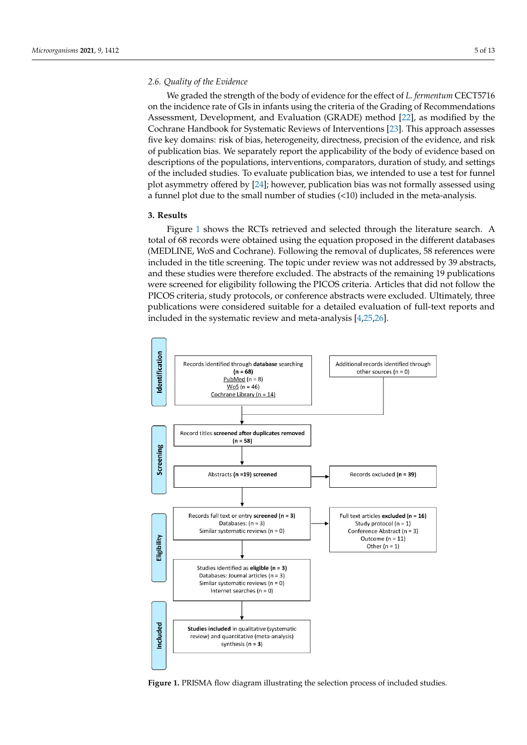#### *2.6. Quality of the Evidence*

We graded the strength of the body of evidence for the effect of *L. fermentum* CECT5716 on the incidence rate of GIs in infants using the criteria of the Grading of Recommendations Assessment, Development, and Evaluation (GRADE) method [\[22\]](#page-10-20), as modified by the Cochrane Handbook for Systematic Reviews of Interventions [\[23\]](#page-10-21). This approach assesses five key domains: risk of bias, heterogeneity, directness, precision of the evidence, and risk of publication bias. We separately report the applicability of the body of evidence based on descriptions of the populations, interventions, comparators, duration of study, and settings of the included studies. To evaluate publication bias, we intended to use a test for funnel plot asymmetry offered by [\[24\]](#page-10-22); however, publication bias was not formally assessed using a funnel plot due to the small number of studies (<10) included in the meta-analysis.

#### **3. Results**

Figure [1](#page-4-0) shows the RCTs retrieved and selected through the literature search. A total of 68 records were obtained using the equation proposed in the different databases (MEDLINE, WoS and Cochrane). Following the removal of duplicates, 58 references were included in the title screening. The topic under review was not addressed by 39 abstracts, and these studies were therefore excluded. The abstracts of the remaining 19 publications were screened for eligibility following the PICOS criteria. Articles that did not follow the PICOS criteria, study protocols, or conference abstracts were excluded. Ultimately, three publications were considered suitable for a detailed evaluation of full-text reports and included in the systematic review and meta-analysis [\[4,](#page-10-3)[25](#page-11-0)[,26\]](#page-11-1).

<span id="page-4-0"></span>

**Figure 1.** PRISMA flow diagram illustrating the selection process of included studies. Fi**gure 1.** PRISMA flow diagram illustrating the selection process of included studies.<br>
In all the selection process of included studies.<br>
The selection process of included studies.<br>
In all the selection process of includ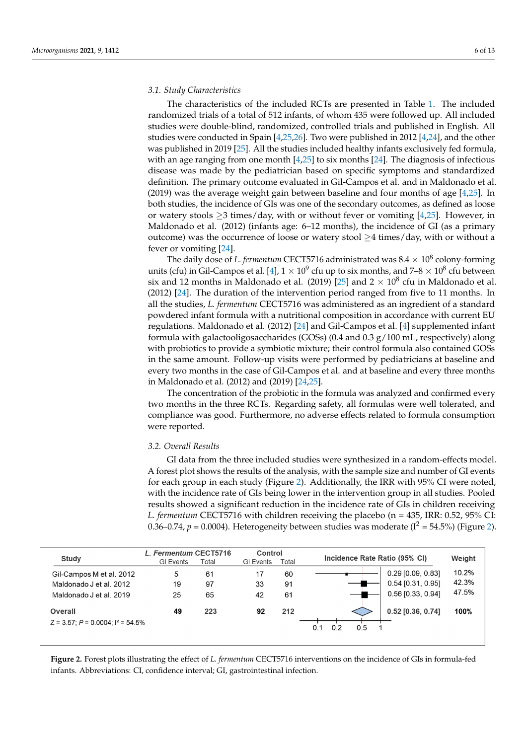#### *3.1. Study Characteristics*

The characteristics of the included RCTs are presented in Table [1.](#page-3-0) The included randomized trials of a total of 512 infants, of whom 435 were followed up. All included studies were double-blind, randomized, controlled trials and published in English. All studies were conducted in Spain [\[4](#page-10-3)[,25,](#page-11-0)[26\]](#page-11-1). Two were published in 2012 [\[4,](#page-10-3)[24\]](#page-10-22), and the other was published in 2019 [\[25\]](#page-11-0). All the studies included healthy infants exclusively fed formula, with an age ranging from one month  $[4,25]$  $[4,25]$  to six months  $[24]$ . The diagnosis of infectious disease was made by the pediatrician based on specific symptoms and standardized definition. The primary outcome evaluated in Gil-Campos et al. and in Maldonado et al. (2019) was the average weight gain between baseline and four months of age [\[4](#page-10-3)[,25\]](#page-11-0). In both studies, the incidence of GIs was one of the secondary outcomes, as defined as loose or watery stools  $\geq$ 3 times/day, with or without fever or vomiting [\[4,](#page-10-3)[25\]](#page-11-0). However, in Maldonado et al. (2012) (infants age: 6–12 months), the incidence of GI (as a primary outcome) was the occurrence of loose or watery stool  $\geq$ 4 times/day, with or without a fever or vomiting [\[24\]](#page-10-22).

*The daily dose of L. fermentum* CECT5716 administrated was  $8.4 \times 10^8$  colony-forming units (cfu) in Gil-Campos et al. [\[4\]](#page-10-3), 1  $\times$  10 $^9$  cfu up to six months, and 7–8  $\times$  10 $^8$  cfu between six and 12 months in Maldonado et al. (2019) [\[25\]](#page-11-0) and 2  $\times$  10<sup>8</sup> cfu in Maldonado et al. (2012) [\[24\]](#page-10-22). The duration of the intervention period ranged from five to 11 months. In all the studies, *L. fermentum* CECT5716 was administered as an ingredient of a standard powdered infant formula with a nutritional composition in accordance with current EU regulations. Maldonado et al. (2012) [24] and Gil-Campos et al. [4] supplemented infant formula with galactooligosaccharides (GOSs) (0.4 and 0.3 g/100 mL, respectively) along with probiotics to provide a symbiotic mixture; their control formula also contained GOSs in the same amount. Follow-up visits were performed by pediatricians at baseline and every two months in the case of Gil-Campos et al. and at baseline and every three months in Maldonado et al. (2012) and (2019) [24,25].

> The concentration of the probiotic in the formula was analyzed and confirmed every two months in the three RCTs. Regarding safety, all formulas were well tolerated, and compliance was good. Furthermore, no adverse effects related to formula consumption were reported.

#### *3.2. Overall Results*  $G$  data from the three includes were synthesized in a random-effect synthesized in a random-effect system of  $G$

GI data from the three included studies were synthesized in a random-effects model. A forest plot shows the results of the analysis, with the sample size and number of GI events for each group in each study (Figure [2\)](#page-5-0). Additionally, the IRR with 95% CI were noted, with the incidence rate of GIs being lower in the intervention group in all studies. Pooled results showed a significant reduction in the incidence rate of GIs in children receiving *L. fermentum* CECT5716 with children receiving the placebo (n = 435, IRR: 0.52, 95% CI: 0.364. **p** = 0.0004). Here 0.36–0.74,  $p = 0.0004$ ). Heterogeneity between studies was moderate ( $I^2 = 54.5$ %) (Figure [2\)](#page-5-0).

<span id="page-5-0"></span>

| <b>Study</b>                               | L. Fermentum CECT5716<br><b>GI Events</b> | Total | Control<br><b>GI Events</b> | Total | Incidence Rate Ratio (95% CI) |                     | Weight |
|--------------------------------------------|-------------------------------------------|-------|-----------------------------|-------|-------------------------------|---------------------|--------|
| Gil-Campos M et al. 2012                   | 5                                         | 61    | 17                          | 60    |                               | $0.29$ [0.09, 0.83] | 10.2%  |
| Maldonado J et al. 2012                    | 19                                        | 97    | 33                          | 91    |                               | $0.54$ [0.31, 0.95] | 42.3%  |
| Maldonado J et al. 2019                    | 25                                        | 65    | 42                          | 61    |                               | 0.56 [0.33, 0.94]   | 47.5%  |
| Overall                                    | 49                                        | 223   | 92                          | 212   |                               | $0.52$ [0.36, 0.74] | 100%   |
| $Z = 3.57$ ; $P = 0.0004$ ; $I^2 = 54.5\%$ |                                           |       |                             |       | 0.5<br>0.2<br>0.1             |                     |        |

Figure 2. Forest plots illustrating the effect of L. fermentum CECT5716 interventions on the incidence of GIs in formula-fed infants. Abbreviations: CI, confidence interval; GI, gastrointestinal infection. infants. Abbreviations: CI, confidence interval; GI, gastrointestinal infection.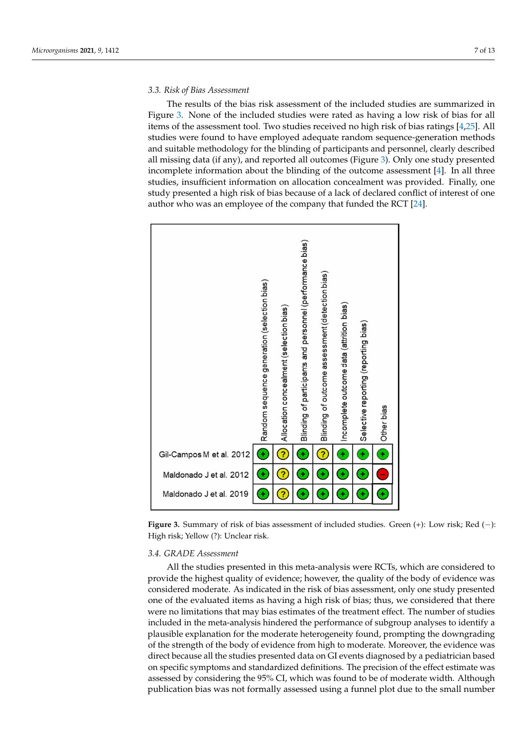#### *3.3. Risk of Bias Assessment*

The results of the bias risk assessment of the included studies are summarized in Figure [3.](#page-6-0) None of the included studies were rated as having a low risk of bias for all items of the assessment tool. Two studies received no high risk of bias ratings [\[4,](#page-10-3)[25\]](#page-11-0). All studies were found to have employed adequate random sequence-generation methods and suitable methodology for the blinding of participants and personnel, clearly described all missing data (if any), and reported all outcomes (Figure [3\)](#page-6-0). Only one study presented incomplete information about the blinding of the outcome assessment [\[4\]](#page-10-3). In all three studies, insufficient information on allocation concealment was provided. Finally, one study presented a high risk of bias because of a lack of declared conflict of interest of one *Microorganisms* **2021**, *9*, x 8 of 14 author who was an employee of the company that funded the RCT [\[24\]](#page-10-22).

<span id="page-6-0"></span>

**Figure 3.** Summary of risk of bias assessment of included studies. Green (+): Low risk; Red (−): **Figure 3.** Summary of risk of bias assessment of included studies. Green (+): Low risk; Red (−): High risk; Yellow (?): Unclear risk. High risk; Yellow (?): Unclear risk.

#### *3.4. GRADE Assessment 3.4. GRADE Assessment*

All the studies presented in this meta-analysis were RCTs, which are considered to All the studies presented in this meta-analysis were RCTs, which are considered to provide the highest quality of evidence; however, the quality of the body of evidence was provide the highest quality of evidence; however, the quality of the body of evidence was considered moderate. As indicated in the risk of bias assessment, only one study presented one of the evaluated items as having a high risk of bias; thus, we considered that there were no limitations that may bias estimates of the treatment effect. The number of studies included in the meta-analysis hindered the performance of subgroup analyses to identify a plausible explanation for the moderate heterogeneity found, prompting the downgrading of the strength of the body of evidence from high to moderate. Moreover, the evidence was direct because all the studies presented data on GI events diagnosed by a pediatrician based on specific symptoms and standardized definitions. The precision of the effect estimate was assessed by considering the 95% CI, which was found to be of moderate width. Although publication bias was not formally assessed using a funnel plot due to the small number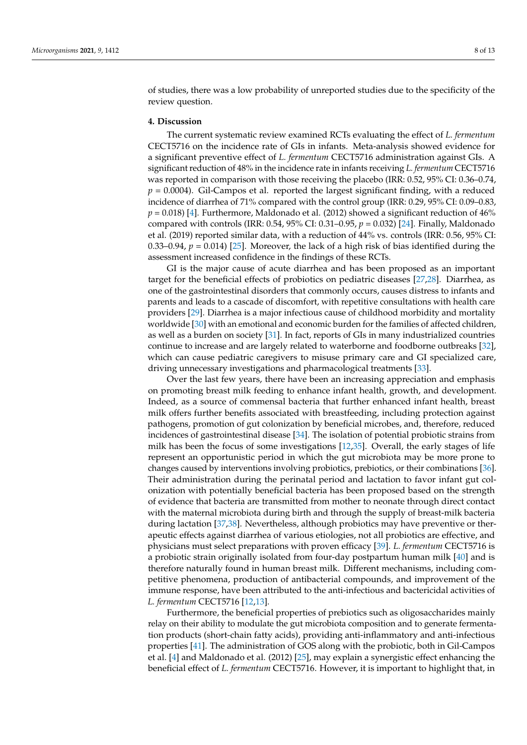of studies, there was a low probability of unreported studies due to the specificity of the review question.

#### **4. Discussion**

The current systematic review examined RCTs evaluating the effect of *L. fermentum* CECT5716 on the incidence rate of GIs in infants. Meta-analysis showed evidence for a significant preventive effect of *L. fermentum* CECT5716 administration against GIs. A significant reduction of 48% in the incidence rate in infants receiving *L. fermentum* CECT5716 was reported in comparison with those receiving the placebo (IRR: 0.52, 95% CI: 0.36–0.74,  $p = 0.0004$ ). Gil-Campos et al. reported the largest significant finding, with a reduced incidence of diarrhea of 71% compared with the control group (IRR: 0.29, 95% CI: 0.09–0.83,  $p = 0.018$  [\[4\]](#page-10-3). Furthermore, Maldonado et al. (2012) showed a significant reduction of 46% compared with controls (IRR: 0.54, 95% CI: 0.31–0.95, *p* = 0.032) [\[24\]](#page-10-22). Finally, Maldonado et al. (2019) reported similar data, with a reduction of 44% vs. controls (IRR: 0.56, 95% CI: 0.33–0.94,  $p = 0.014$ ) [\[25\]](#page-11-0). Moreover, the lack of a high risk of bias identified during the assessment increased confidence in the findings of these RCTs.

GI is the major cause of acute diarrhea and has been proposed as an important target for the beneficial effects of probiotics on pediatric diseases [\[27](#page-11-2)[,28\]](#page-11-3). Diarrhea, as one of the gastrointestinal disorders that commonly occurs, causes distress to infants and parents and leads to a cascade of discomfort, with repetitive consultations with health care providers [\[29\]](#page-11-4). Diarrhea is a major infectious cause of childhood morbidity and mortality worldwide [\[30\]](#page-11-5) with an emotional and economic burden for the families of affected children, as well as a burden on society [\[31\]](#page-11-6). In fact, reports of GIs in many industrialized countries continue to increase and are largely related to waterborne and foodborne outbreaks [\[32\]](#page-11-7), which can cause pediatric caregivers to misuse primary care and GI specialized care, driving unnecessary investigations and pharmacological treatments [\[33\]](#page-11-8).

Over the last few years, there have been an increasing appreciation and emphasis on promoting breast milk feeding to enhance infant health, growth, and development. Indeed, as a source of commensal bacteria that further enhanced infant health, breast milk offers further benefits associated with breastfeeding, including protection against pathogens, promotion of gut colonization by beneficial microbes, and, therefore, reduced incidences of gastrointestinal disease [\[34\]](#page-11-9). The isolation of potential probiotic strains from milk has been the focus of some investigations [\[12](#page-10-11)[,35\]](#page-11-10). Overall, the early stages of life represent an opportunistic period in which the gut microbiota may be more prone to changes caused by interventions involving probiotics, prebiotics, or their combinations [\[36\]](#page-11-11). Their administration during the perinatal period and lactation to favor infant gut colonization with potentially beneficial bacteria has been proposed based on the strength of evidence that bacteria are transmitted from mother to neonate through direct contact with the maternal microbiota during birth and through the supply of breast-milk bacteria during lactation [\[37,](#page-11-12)[38\]](#page-11-13). Nevertheless, although probiotics may have preventive or therapeutic effects against diarrhea of various etiologies, not all probiotics are effective, and physicians must select preparations with proven efficacy [\[39\]](#page-11-14). *L. fermentum* CECT5716 is a probiotic strain originally isolated from four-day postpartum human milk [\[40\]](#page-11-15) and is therefore naturally found in human breast milk. Different mechanisms, including competitive phenomena, production of antibacterial compounds, and improvement of the immune response, have been attributed to the anti-infectious and bactericidal activities of *L. fermentum* CECT5716 [\[12](#page-10-11)[,13\]](#page-10-12).

Furthermore, the beneficial properties of prebiotics such as oligosaccharides mainly relay on their ability to modulate the gut microbiota composition and to generate fermentation products (short-chain fatty acids), providing anti-inflammatory and anti-infectious properties [\[41\]](#page-11-16). The administration of GOS along with the probiotic, both in Gil-Campos et al. [\[4\]](#page-10-3) and Maldonado et al. (2012) [\[25\]](#page-11-0), may explain a synergistic effect enhancing the beneficial effect of *L. fermentum* CECT5716. However, it is important to highlight that, in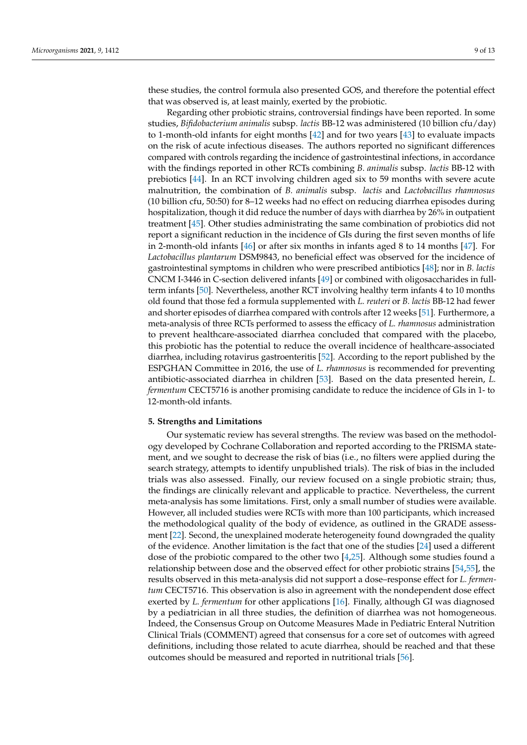these studies, the control formula also presented GOS, and therefore the potential effect that was observed is, at least mainly, exerted by the probiotic.

Regarding other probiotic strains, controversial findings have been reported. In some studies, *Bifidobacterium animalis* subsp. *lactis* BB-12 was administered (10 billion cfu/day) to 1-month-old infants for eight months [\[42\]](#page-11-17) and for two years [\[43\]](#page-11-18) to evaluate impacts on the risk of acute infectious diseases. The authors reported no significant differences compared with controls regarding the incidence of gastrointestinal infections, in accordance with the findings reported in other RCTs combining *B. animalis* subsp. *lactis* BB-12 with prebiotics [\[44\]](#page-11-19). In an RCT involving children aged six to 59 months with severe acute malnutrition, the combination of *B. animalis* subsp. *lactis* and *Lactobacillus rhamnosus* (10 billion cfu, 50:50) for 8–12 weeks had no effect on reducing diarrhea episodes during hospitalization, though it did reduce the number of days with diarrhea by 26% in outpatient treatment [\[45\]](#page-11-20). Other studies administrating the same combination of probiotics did not report a significant reduction in the incidence of GIs during the first seven months of life in 2-month-old infants [\[46\]](#page-11-21) or after six months in infants aged 8 to 14 months [\[47\]](#page-11-22). For *Lactobacillus plantarum* DSM9843, no beneficial effect was observed for the incidence of gastrointestinal symptoms in children who were prescribed antibiotics [\[48\]](#page-11-23); nor in *B. lactis* CNCM I-3446 in C-section delivered infants [\[49\]](#page-11-24) or combined with oligosaccharides in fullterm infants [\[50\]](#page-12-0). Nevertheless, another RCT involving healthy term infants 4 to 10 months old found that those fed a formula supplemented with *L. reuteri* or *B. lactis* BB-12 had fewer and shorter episodes of diarrhea compared with controls after 12 weeks [\[51\]](#page-12-1). Furthermore, a meta-analysis of three RCTs performed to assess the efficacy of *L. rhamnosus* administration to prevent healthcare-associated diarrhea concluded that compared with the placebo, this probiotic has the potential to reduce the overall incidence of healthcare-associated diarrhea, including rotavirus gastroenteritis [\[52\]](#page-12-2). According to the report published by the ESPGHAN Committee in 2016, the use of *L. rhamnosus* is recommended for preventing antibiotic-associated diarrhea in children [\[53\]](#page-12-3). Based on the data presented herein, *L. fermentum* CECT5716 is another promising candidate to reduce the incidence of GIs in 1- to 12-month-old infants.

#### **5. Strengths and Limitations**

Our systematic review has several strengths. The review was based on the methodology developed by Cochrane Collaboration and reported according to the PRISMA statement, and we sought to decrease the risk of bias (i.e., no filters were applied during the search strategy, attempts to identify unpublished trials). The risk of bias in the included trials was also assessed. Finally, our review focused on a single probiotic strain; thus, the findings are clinically relevant and applicable to practice. Nevertheless, the current meta-analysis has some limitations. First, only a small number of studies were available. However, all included studies were RCTs with more than 100 participants, which increased the methodological quality of the body of evidence, as outlined in the GRADE assessment [\[22\]](#page-10-20). Second, the unexplained moderate heterogeneity found downgraded the quality of the evidence. Another limitation is the fact that one of the studies [\[24\]](#page-10-22) used a different dose of the probiotic compared to the other two [\[4](#page-10-3)[,25\]](#page-11-0). Although some studies found a relationship between dose and the observed effect for other probiotic strains [\[54](#page-12-4)[,55\]](#page-12-5), the results observed in this meta-analysis did not support a dose–response effect for *L. fermentum* CECT5716. This observation is also in agreement with the nondependent dose effect exerted by *L. fermentum* for other applications [\[16\]](#page-10-15). Finally, although GI was diagnosed by a pediatrician in all three studies, the definition of diarrhea was not homogeneous. Indeed, the Consensus Group on Outcome Measures Made in Pediatric Enteral Nutrition Clinical Trials (COMMENT) agreed that consensus for a core set of outcomes with agreed definitions, including those related to acute diarrhea, should be reached and that these outcomes should be measured and reported in nutritional trials [\[56\]](#page-12-6).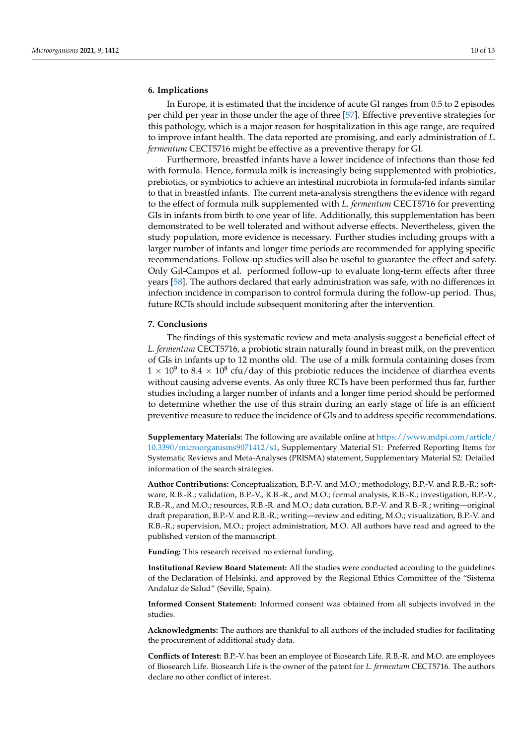# **6. Implications**

In Europe, it is estimated that the incidence of acute GI ranges from 0.5 to 2 episodes per child per year in those under the age of three [\[57\]](#page-12-7). Effective preventive strategies for this pathology, which is a major reason for hospitalization in this age range, are required to improve infant health. The data reported are promising, and early administration of *L. fermentum* CECT5716 might be effective as a preventive therapy for GI.

Furthermore, breastfed infants have a lower incidence of infections than those fed with formula. Hence, formula milk is increasingly being supplemented with probiotics, prebiotics, or symbiotics to achieve an intestinal microbiota in formula-fed infants similar to that in breastfed infants. The current meta-analysis strengthens the evidence with regard to the effect of formula milk supplemented with *L. fermentum* CECT5716 for preventing GIs in infants from birth to one year of life. Additionally, this supplementation has been demonstrated to be well tolerated and without adverse effects. Nevertheless, given the study population, more evidence is necessary. Further studies including groups with a larger number of infants and longer time periods are recommended for applying specific recommendations. Follow-up studies will also be useful to guarantee the effect and safety. Only Gil-Campos et al. performed follow-up to evaluate long-term effects after three years [\[58\]](#page-12-8). The authors declared that early administration was safe, with no differences in infection incidence in comparison to control formula during the follow-up period. Thus, future RCTs should include subsequent monitoring after the intervention.

# **7. Conclusions**

The findings of this systematic review and meta-analysis suggest a beneficial effect of *L. fermentum* CECT5716, a probiotic strain naturally found in breast milk, on the prevention of GIs in infants up to 12 months old. The use of a milk formula containing doses from  $1 \times 10^9$  to 8.4  $\times$  10<sup>8</sup> cfu/day of this probiotic reduces the incidence of diarrhea events without causing adverse events. As only three RCTs have been performed thus far, further studies including a larger number of infants and a longer time period should be performed to determine whether the use of this strain during an early stage of life is an efficient preventive measure to reduce the incidence of GIs and to address specific recommendations.

**Supplementary Materials:** The following are available online at [https://www.mdpi.com/article/](https://www.mdpi.com/article/10.3390/microorganisms9071412/s1) [10.3390/microorganisms9071412/s1,](https://www.mdpi.com/article/10.3390/microorganisms9071412/s1) Supplementary Material S1: Preferred Reporting Items for Systematic Reviews and Meta-Analyses (PRISMA) statement, Supplementary Material S2: Detailed information of the search strategies.

**Author Contributions:** Conceptualization, B.P.-V. and M.O.; methodology, B.P.-V. and R.B.-R.; software, R.B.-R.; validation, B.P.-V., R.B.-R., and M.O.; formal analysis, R.B.-R.; investigation, B.P.-V., R.B.-R., and M.O.; resources, R.B.-R. and M.O.; data curation, B.P.-V. and R.B.-R.; writing—original draft preparation, B.P.-V. and R.B.-R.; writing—review and editing, M.O.; visualization, B.P.-V. and R.B.-R.; supervision, M.O.; project administration, M.O. All authors have read and agreed to the published version of the manuscript.

**Funding:** This research received no external funding.

**Institutional Review Board Statement:** All the studies were conducted according to the guidelines of the Declaration of Helsinki, and approved by the Regional Ethics Committee of the "Sistema Andaluz de Salud" (Seville, Spain).

**Informed Consent Statement:** Informed consent was obtained from all subjects involved in the studies.

**Acknowledgments:** The authors are thankful to all authors of the included studies for facilitating the procurement of additional study data.

**Conflicts of Interest:** B.P.-V. has been an employee of Biosearch Life. R.B.-R. and M.O. are employees of Biosearch Life. Biosearch Life is the owner of the patent for *L. fermentum* CECT5716. The authors declare no other conflict of interest.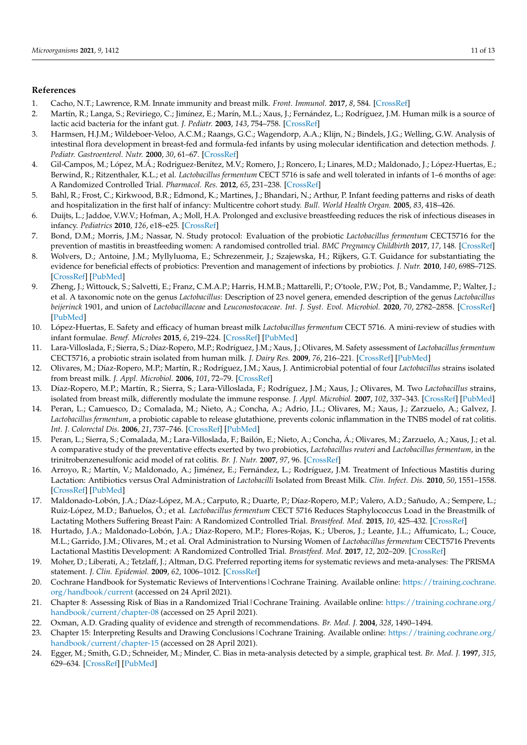### **References**

- <span id="page-10-0"></span>1. Cacho, N.T.; Lawrence, R.M. Innate immunity and breast milk. *Front. Immunol.* **2017**, *8*, 584. [\[CrossRef\]](http://doi.org/10.3389/fimmu.2017.00584)
- <span id="page-10-1"></span>2. Martín, R.; Langa, S.; Reviriego, C.; Jimínez, E.; Marín, M.L.; Xaus, J.; Fernández, L.; Rodríguez, J.M. Human milk is a source of lactic acid bacteria for the infant gut. *J. Pediatr.* **2003**, *143*, 754–758. [\[CrossRef\]](http://doi.org/10.1016/j.jpeds.2003.09.028)
- <span id="page-10-2"></span>3. Harmsen, H.J.M.; Wildeboer-Veloo, A.C.M.; Raangs, G.C.; Wagendorp, A.A.; Klijn, N.; Bindels, J.G.; Welling, G.W. Analysis of intestinal flora development in breast-fed and formula-fed infants by using molecular identification and detection methods. *J. Pediatr. Gastroenterol. Nutr.* **2000**, *30*, 61–67. [\[CrossRef\]](http://doi.org/10.1097/00005176-200001000-00019)
- <span id="page-10-3"></span>4. Gil-Campos, M.; López, M.Á.; Rodriguez-Benítez, M.V.; Romero, J.; Roncero, I.; Linares, M.D.; Maldonado, J.; López-Huertas, E.; Berwind, R.; Ritzenthaler, K.L.; et al. *Lactobacillus fermentum* CECT 5716 is safe and well tolerated in infants of 1–6 months of age: A Randomized Controlled Trial. *Pharmacol. Res.* **2012**, *65*, 231–238. [\[CrossRef\]](http://doi.org/10.1016/j.phrs.2011.11.016)
- <span id="page-10-4"></span>5. Bahl, R.; Frost, C.; Kirkwood, B.R.; Edmond, K.; Martines, J.; Bhandari, N.; Arthur, P. Infant feeding patterns and risks of death and hospitalization in the first half of infancy: Multicentre cohort study. *Bull. World Health Organ.* **2005**, *83*, 418–426.
- <span id="page-10-5"></span>6. Duijts, L.; Jaddoe, V.W.V.; Hofman, A.; Moll, H.A. Prolonged and exclusive breastfeeding reduces the risk of infectious diseases in infancy. *Pediatrics* **2010**, *126*, e18–e25. [\[CrossRef\]](http://doi.org/10.1542/peds.2008-3256)
- <span id="page-10-6"></span>7. Bond, D.M.; Morris, J.M.; Nassar, N. Study protocol: Evaluation of the probiotic *Lactobacillus fermentum* CECT5716 for the prevention of mastitis in breastfeeding women: A randomised controlled trial. *BMC Pregnancy Childbirth* **2017**, *17*, 148. [\[CrossRef\]](http://doi.org/10.1186/s12884-017-1330-8)
- <span id="page-10-7"></span>8. Wolvers, D.; Antoine, J.M.; Myllyluoma, E.; Schrezenmeir, J.; Szajewska, H.; Rijkers, G.T. Guidance for substantiating the evidence for beneficial effects of probiotics: Prevention and management of infections by probiotics. *J. Nutr.* **2010**, *140*, 698S–712S. [\[CrossRef\]](http://doi.org/10.3945/jn.109.113753) [\[PubMed\]](http://www.ncbi.nlm.nih.gov/pubmed/20107143)
- <span id="page-10-8"></span>9. Zheng, J.; Wittouck, S.; Salvetti, E.; Franz, C.M.A.P.; Harris, H.M.B.; Mattarelli, P.; O'toole, P.W.; Pot, B.; Vandamme, P.; Walter, J.; et al. A taxonomic note on the genus *Lactobacillus*: Description of 23 novel genera, emended description of the genus *Lactobacillus beijerinck* 1901, and union of *Lactobacillaceae* and *Leuconostocaceae*. *Int. J. Syst. Evol. Microbiol.* **2020**, *70*, 2782–2858. [\[CrossRef\]](http://doi.org/10.1099/ijsem.0.004107) [\[PubMed\]](http://www.ncbi.nlm.nih.gov/pubmed/32293557)
- <span id="page-10-9"></span>10. López-Huertas, E. Safety and efficacy of human breast milk *Lactobacillus fermentum* CECT 5716. A mini-review of studies with infant formulae. *Benef. Microbes* **2015**, *6*, 219–224. [\[CrossRef\]](http://doi.org/10.3920/BM2014.0091) [\[PubMed\]](http://www.ncbi.nlm.nih.gov/pubmed/25519525)
- <span id="page-10-10"></span>11. Lara-Villoslada, F.; Sierra, S.; Díaz-Ropero, M.P.; Rodríguez, J.M.; Xaus, J.; Olivares, M. Safety assessment of *Lactobacillus fermentum* CECT5716, a probiotic strain isolated from human milk. *J. Dairy Res.* **2009**, *76*, 216–221. [\[CrossRef\]](http://doi.org/10.1017/S0022029909004014) [\[PubMed\]](http://www.ncbi.nlm.nih.gov/pubmed/19281631)
- <span id="page-10-11"></span>12. Olivares, M.; Díaz-Ropero, M.P.; Martín, R.; Rodríguez, J.M.; Xaus, J. Antimicrobial potential of four *Lactobacillus* strains isolated from breast milk. *J. Appl. Microbiol.* **2006**, *101*, 72–79. [\[CrossRef\]](http://doi.org/10.1111/j.1365-2672.2006.02981.x)
- <span id="page-10-12"></span>13. Díaz-Ropero, M.P.; Martín, R.; Sierra, S.; Lara-Villoslada, F.; Rodríguez, J.M.; Xaus, J.; Olivares, M. Two *Lactobacillus* strains, isolated from breast milk, differently modulate the immune response. *J. Appl. Microbiol.* **2007**, *102*, 337–343. [\[CrossRef\]](http://doi.org/10.1111/j.1365-2672.2006.03102.x) [\[PubMed\]](http://www.ncbi.nlm.nih.gov/pubmed/17241338)
- <span id="page-10-13"></span>14. Peran, L.; Camuesco, D.; Comalada, M.; Nieto, A.; Concha, A.; Adrio, J.L.; Olivares, M.; Xaus, J.; Zarzuelo, A.; Galvez, J. *Lactobacillus fermentum*, a probiotic capable to release glutathione, prevents colonic inflammation in the TNBS model of rat colitis. *Int. J. Colorectal Dis.* **2006**, *21*, 737–746. [\[CrossRef\]](http://doi.org/10.1007/s00384-005-0773-y) [\[PubMed\]](http://www.ncbi.nlm.nih.gov/pubmed/16052308)
- <span id="page-10-14"></span>15. Peran, L.; Sierra, S.; Comalada, M.; Lara-Villoslada, F.; Bailón, E.; Nieto, A.; Concha, Á.; Olivares, M.; Zarzuelo, A.; Xaus, J.; et al. A comparative study of the preventative effects exerted by two probiotics, *Lactobacillus reuteri* and *Lactobacillus fermentum*, in the trinitrobenzenesulfonic acid model of rat colitis. *Br. J. Nutr.* **2007**, *97*, 96. [\[CrossRef\]](http://doi.org/10.1017/S0007114507257770)
- <span id="page-10-15"></span>16. Arroyo, R.; Martín, V.; Maldonado, A.; Jiménez, E.; Fernández, L.; Rodríguez, J.M. Treatment of Infectious Mastitis during Lactation: Antibiotics versus Oral Administration of *Lactobacilli* Isolated from Breast Milk. *Clin. Infect. Dis.* **2010**, *50*, 1551–1558. [\[CrossRef\]](http://doi.org/10.1086/652763) [\[PubMed\]](http://www.ncbi.nlm.nih.gov/pubmed/20455694)
- 17. Maldonado-Lobón, J.A.; Díaz-López, M.A.; Carputo, R.; Duarte, P.; Díaz-Ropero, M.P.; Valero, A.D.; Sañudo, A.; Sempere, L.; Ruiz-López, M.D.; Bañuelos, Ó.; et al. *Lactobacillus fermentum* CECT 5716 Reduces Staphylococcus Load in the Breastmilk of Lactating Mothers Suffering Breast Pain: A Randomized Controlled Trial. *Breastfeed. Med.* **2015**, *10*, 425–432. [\[CrossRef\]](http://doi.org/10.1089/bfm.2015.0070)
- <span id="page-10-16"></span>18. Hurtado, J.A.; Maldonado-Lobón, J.A.; Díaz-Ropero, M.P.; Flores-Rojas, K.; Uberos, J.; Leante, J.L.; Affumicato, L.; Couce, M.L.; Garrido, J.M.; Olivares, M.; et al. Oral Administration to Nursing Women of *Lactobacillus fermentum* CECT5716 Prevents Lactational Mastitis Development: A Randomized Controlled Trial. *Breastfeed. Med.* **2017**, *12*, 202–209. [\[CrossRef\]](http://doi.org/10.1089/bfm.2016.0173)
- <span id="page-10-17"></span>19. Moher, D.; Liberati, A.; Tetzlaff, J.; Altman, D.G. Preferred reporting items for systematic reviews and meta-analyses: The PRISMA statement. *J. Clin. Epidemiol.* **2009**, *62*, 1006–1012. [\[CrossRef\]](http://doi.org/10.1016/j.jclinepi.2009.06.005)
- <span id="page-10-18"></span>20. Cochrane Handbook for Systematic Reviews of Interventions|Cochrane Training. Available online: [https://training.cochrane.](https://training.cochrane.org/handbook/current) [org/handbook/current](https://training.cochrane.org/handbook/current) (accessed on 24 April 2021).
- <span id="page-10-19"></span>21. Chapter 8: Assessing Risk of Bias in a Randomized Trial | Cochrane Training. Available online: [https://training.cochrane.org/](https://training.cochrane.org/handbook/current/chapter-08) [handbook/current/chapter-08](https://training.cochrane.org/handbook/current/chapter-08) (accessed on 25 April 2021).
- <span id="page-10-20"></span>22. Oxman, A.D. Grading quality of evidence and strength of recommendations. *Br. Med. J.* **2004**, *328*, 1490–1494.
- <span id="page-10-21"></span>23. Chapter 15: Interpreting Results and Drawing Conclusions|Cochrane Training. Available online: [https://training.cochrane.org/](https://training.cochrane.org/handbook/current/chapter-15) [handbook/current/chapter-15](https://training.cochrane.org/handbook/current/chapter-15) (accessed on 28 April 2021).
- <span id="page-10-22"></span>24. Egger, M.; Smith, G.D.; Schneider, M.; Minder, C. Bias in meta-analysis detected by a simple, graphical test. *Br. Med. J.* **1997**, *315*, 629–634. [\[CrossRef\]](http://doi.org/10.1136/bmj.315.7109.629) [\[PubMed\]](http://www.ncbi.nlm.nih.gov/pubmed/9310563)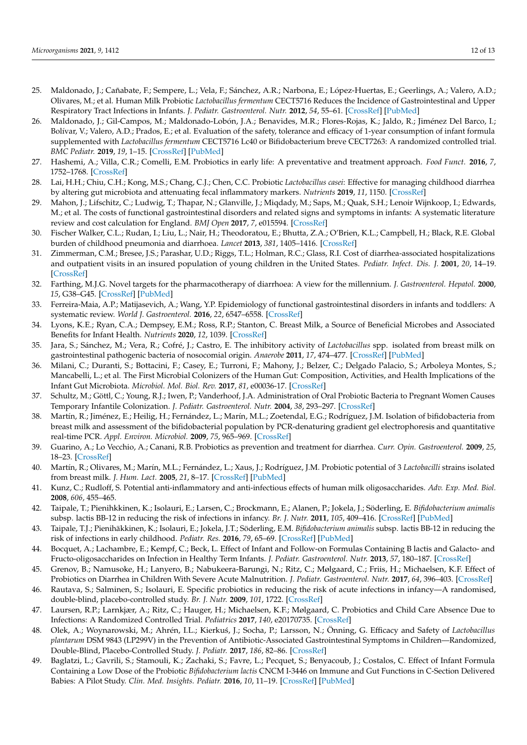- <span id="page-11-0"></span>25. Maldonado, J.; Cañabate, F.; Sempere, L.; Vela, F.; Sánchez, A.R.; Narbona, E.; López-Huertas, E.; Geerlings, A.; Valero, A.D.; Olivares, M.; et al. Human Milk Probiotic *Lactobacillus fermentum* CECT5716 Reduces the Incidence of Gastrointestinal and Upper Respiratory Tract Infections in Infants. *J. Pediatr. Gastroenterol. Nutr.* **2012**, *54*, 55–61. [\[CrossRef\]](http://doi.org/10.1097/MPG.0b013e3182333f18) [\[PubMed\]](http://www.ncbi.nlm.nih.gov/pubmed/21873895)
- <span id="page-11-1"></span>26. Maldonado, J.; Gil-Campos, M.; Maldonado-Lobón, J.A.; Benavides, M.R.; Flores-Rojas, K.; Jaldo, R.; Jiménez Del Barco, I.; Bolívar, V.; Valero, A.D.; Prados, E.; et al. Evaluation of the safety, tolerance and efficacy of 1-year consumption of infant formula supplemented with *Lactobacillus fermentum* CECT5716 Lc40 or Bifidobacterium breve CECT7263: A randomized controlled trial. *BMC Pediatr.* **2019**, *19*, 1–15. [\[CrossRef\]](http://doi.org/10.1186/s12887-019-1753-7) [\[PubMed\]](http://www.ncbi.nlm.nih.gov/pubmed/31630683)
- <span id="page-11-2"></span>27. Hashemi, A.; Villa, C.R.; Comelli, E.M. Probiotics in early life: A preventative and treatment approach. *Food Funct.* **2016**, *7*, 1752–1768. [\[CrossRef\]](http://doi.org/10.1039/C5FO01148E)
- <span id="page-11-3"></span>28. Lai, H.H.; Chiu, C.H.; Kong, M.S.; Chang, C.J.; Chen, C.C. Probiotic *Lactobacillus casei*: Effective for managing childhood diarrhea by altering gut microbiota and attenuating fecal inflammatory markers. *Nutrients* **2019**, *11*, 1150. [\[CrossRef\]](http://doi.org/10.3390/nu11051150)
- <span id="page-11-4"></span>29. Mahon, J.; Lifschitz, C.; Ludwig, T.; Thapar, N.; Glanville, J.; Miqdady, M.; Saps, M.; Quak, S.H.; Lenoir Wijnkoop, I.; Edwards, M.; et al. The costs of functional gastrointestinal disorders and related signs and symptoms in infants: A systematic literature review and cost calculation for England. *BMJ Open* **2017**, *7*, e015594. [\[CrossRef\]](http://doi.org/10.1136/bmjopen-2016-015594)
- <span id="page-11-5"></span>30. Fischer Walker, C.L.; Rudan, I.; Liu, L.; Nair, H.; Theodoratou, E.; Bhutta, Z.A.; O'Brien, K.L.; Campbell, H.; Black, R.E. Global burden of childhood pneumonia and diarrhoea. *Lancet* **2013**, *381*, 1405–1416. [\[CrossRef\]](http://doi.org/10.1016/S0140-6736(13)60222-6)
- <span id="page-11-6"></span>31. Zimmerman, C.M.; Bresee, J.S.; Parashar, U.D.; Riggs, T.L.; Holman, R.C.; Glass, R.I. Cost of diarrhea-associated hospitalizations and outpatient visits in an insured population of young children in the United States. *Pediatr. Infect. Dis. J.* **2001**, *20*, 14–19. [\[CrossRef\]](http://doi.org/10.1097/00006454-200101000-00004)
- <span id="page-11-7"></span>32. Farthing, M.J.G. Novel targets for the pharmacotherapy of diarrhoea: A view for the millennium. *J. Gastroenterol. Hepatol.* **2000**, *15*, G38–G45. [\[CrossRef\]](http://doi.org/10.1046/j.1440-1746.2000.02264.x) [\[PubMed\]](http://www.ncbi.nlm.nih.gov/pubmed/11100992)
- <span id="page-11-8"></span>33. Ferreira-Maia, A.P.; Matijasevich, A.; Wang, Y.P. Epidemiology of functional gastrointestinal disorders in infants and toddlers: A systematic review. *World J. Gastroenterol.* **2016**, *22*, 6547–6558. [\[CrossRef\]](http://doi.org/10.3748/wjg.v22.i28.6547)
- <span id="page-11-9"></span>34. Lyons, K.E.; Ryan, C.A.; Dempsey, E.M.; Ross, R.P.; Stanton, C. Breast Milk, a Source of Beneficial Microbes and Associated Benefits for Infant Health. *Nutrients* **2020**, *12*, 1039. [\[CrossRef\]](http://doi.org/10.3390/nu12041039)
- <span id="page-11-10"></span>35. Jara, S.; Sánchez, M.; Vera, R.; Cofré, J.; Castro, E. The inhibitory activity of *Lactobacillus* spp. isolated from breast milk on gastrointestinal pathogenic bacteria of nosocomial origin. *Anaerobe* **2011**, *17*, 474–477. [\[CrossRef\]](http://doi.org/10.1016/j.anaerobe.2011.07.008) [\[PubMed\]](http://www.ncbi.nlm.nih.gov/pubmed/21846506)
- <span id="page-11-11"></span>36. Milani, C.; Duranti, S.; Bottacini, F.; Casey, E.; Turroni, F.; Mahony, J.; Belzer, C.; Delgado Palacio, S.; Arboleya Montes, S.; Mancabelli, L.; et al. The First Microbial Colonizers of the Human Gut: Composition, Activities, and Health Implications of the Infant Gut Microbiota. *Microbiol. Mol. Biol. Rev.* **2017**, *81*, e00036-17. [\[CrossRef\]](http://doi.org/10.1128/MMBR.00036-17)
- <span id="page-11-12"></span>37. Schultz, M.; Göttl, C.; Young, R.J.; Iwen, P.; Vanderhoof, J.A. Administration of Oral Probiotic Bacteria to Pregnant Women Causes Temporary Infantile Colonization. *J. Pediatr. Gastroenterol. Nutr.* **2004**, *38*, 293–297. [\[CrossRef\]](http://doi.org/10.1097/00005176-200403000-00012)
- <span id="page-11-13"></span>38. Martín, R.; Jiménez, E.; Heilig, H.; Fernández, L.; Marín, M.L.; Zoetendal, E.G.; Rodríguez, J.M. Isolation of bifidobacteria from breast milk and assessment of the bifidobacterial population by PCR-denaturing gradient gel electrophoresis and quantitative real-time PCR. *Appl. Environ. Microbiol.* **2009**, *75*, 965–969. [\[CrossRef\]](http://doi.org/10.1128/AEM.02063-08)
- <span id="page-11-14"></span>39. Guarino, A.; Lo Vecchio, A.; Canani, R.B. Probiotics as prevention and treatment for diarrhea. *Curr. Opin. Gastroenterol.* **2009**, *25*, 18–23. [\[CrossRef\]](http://doi.org/10.1097/MOG.0b013e32831b4455)
- <span id="page-11-15"></span>40. Martín, R.; Olivares, M.; Marín, M.L.; Fernández, L.; Xaus, J.; Rodríguez, J.M. Probiotic potential of 3 *Lactobacilli* strains isolated from breast milk. *J. Hum. Lact.* **2005**, *21*, 8–17. [\[CrossRef\]](http://doi.org/10.1177/0890334404272393) [\[PubMed\]](http://www.ncbi.nlm.nih.gov/pubmed/15681631)
- <span id="page-11-16"></span>41. Kunz, C.; Rudloff, S. Potential anti-inflammatory and anti-infectious effects of human milk oligosaccharides. *Adv. Exp. Med. Biol.* **2008**, *606*, 455–465.
- <span id="page-11-17"></span>42. Taipale, T.; Pienihkkinen, K.; Isolauri, E.; Larsen, C.; Brockmann, E.; Alanen, P.; Jokela, J.; Söderling, E. *Bifidobacterium animalis* subsp. lactis BB-12 in reducing the risk of infections in infancy. *Br. J. Nutr.* **2011**, *105*, 409–416. [\[CrossRef\]](http://doi.org/10.1017/S0007114510003685) [\[PubMed\]](http://www.ncbi.nlm.nih.gov/pubmed/20863419)
- <span id="page-11-18"></span>43. Taipale, T.J.; Pienihäkkinen, K.; Isolauri, E.; Jokela, J.T.; Söderling, E.M. *Bifidobacterium animalis* subsp. lactis BB-12 in reducing the risk of infections in early childhood. *Pediatr. Res.* **2016**, *79*, 65–69. [\[CrossRef\]](http://doi.org/10.1038/pr.2015.174) [\[PubMed\]](http://www.ncbi.nlm.nih.gov/pubmed/26372517)
- <span id="page-11-19"></span>44. Bocquet, A.; Lachambre, E.; Kempf, C.; Beck, L. Effect of Infant and Follow-on Formulas Containing B lactis and Galacto- and Fructo-oligosaccharides on Infection in Healthy Term Infants. *J. Pediatr. Gastroenterol. Nutr.* **2013**, *57*, 180–187. [\[CrossRef\]](http://doi.org/10.1097/MPG.0b013e318297f35e)
- <span id="page-11-20"></span>45. Grenov, B.; Namusoke, H.; Lanyero, B.; Nabukeera-Barungi, N.; Ritz, C.; Mølgaard, C.; Friis, H.; Michaelsen, K.F. Effect of Probiotics on Diarrhea in Children With Severe Acute Malnutrition. *J. Pediatr. Gastroenterol. Nutr.* **2017**, *64*, 396–403. [\[CrossRef\]](http://doi.org/10.1097/MPG.0000000000001515)
- <span id="page-11-21"></span>46. Rautava, S.; Salminen, S.; Isolauri, E. Specific probiotics in reducing the risk of acute infections in infancy—A randomised, double-blind, placebo-controlled study. *Br. J. Nutr.* **2009**, *101*, 1722. [\[CrossRef\]](http://doi.org/10.1017/S0007114508116282)
- <span id="page-11-22"></span>47. Laursen, R.P.; Larnkjær, A.; Ritz, C.; Hauger, H.; Michaelsen, K.F.; Mølgaard, C. Probiotics and Child Care Absence Due to Infections: A Randomized Controlled Trial. *Pediatrics* **2017**, *140*, e20170735. [\[CrossRef\]](http://doi.org/10.1542/peds.2017-0735)
- <span id="page-11-23"></span>48. Olek, A.; Woynarowski, M.; Ahrén, I.L.; Kierku´s, J.; Socha, P.; Larsson, N.; Önning, G. Efficacy and Safety of *Lactobacillus plantarum* DSM 9843 (LP299V) in the Prevention of Antibiotic-Associated Gastrointestinal Symptoms in Children—Randomized, Double-Blind, Placebo-Controlled Study. *J. Pediatr.* **2017**, *186*, 82–86. [\[CrossRef\]](http://doi.org/10.1016/j.jpeds.2017.03.047)
- <span id="page-11-24"></span>49. Baglatzi, L.; Gavrili, S.; Stamouli, K.; Zachaki, S.; Favre, L.; Pecquet, S.; Benyacoub, J.; Costalos, C. Effect of Infant Formula Containing a Low Dose of the Probiotic *Bifidobacterium lactis* CNCM I-3446 on Immune and Gut Functions in C-Section Delivered Babies: A Pilot Study. *Clin. Med. Insights. Pediatr.* **2016**, *10*, 11–19. [\[CrossRef\]](http://doi.org/10.4137/CMPed.S33096) [\[PubMed\]](http://www.ncbi.nlm.nih.gov/pubmed/26997881)